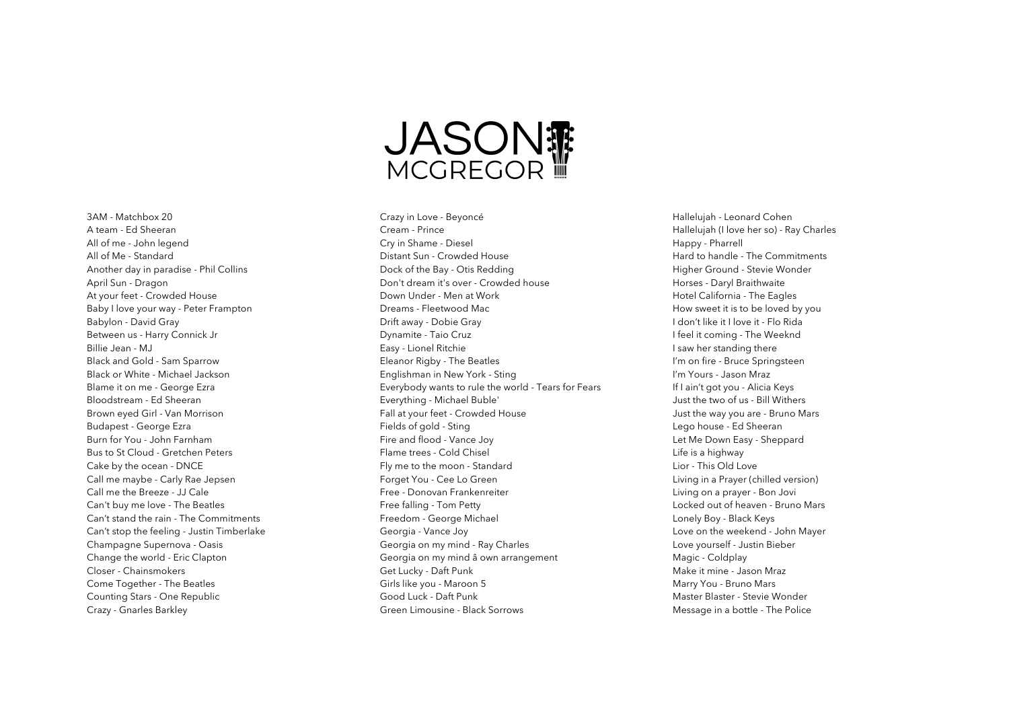

3AM - Matchbox 20 A team - Ed Sheeran All of me - John legend All of Me - Standard Another day in paradise - Phil Collins April Sun - Dragon At your feet - Crowded House Baby I love your way - Peter Frampton Babylon - David Gray Between us - Harry Connick Jr Billie Jean - MJ Black and Gold - Sam Sparrow Black or White - Michael Jackson Blame it on me - George Ezra Bloodstream - Ed Sheeran Brown eyed Girl - Van Morrison Budapest - George Ezra Burn for You - John Farnham Bus to St Cloud - Gretchen Peters Cake by the ocean - DNCE Call me maybe - Carly Rae Jepsen Call me the Breeze - JJ Cale Can't buy me love - The Beatles Can't stand the rain - The Commitments Can't stop the feeling - Justin Timberlake Champagne Supernova - Oasis Change the world - Eric Clapton Closer - Chainsmokers Come Together - The Beatles Counting Stars - One Republic Crazy - Gnarles Barkley

Crazy in Love - Beyoncé Cream - Prince Cry in Shame - Diesel Distant Sun - Crowded House Dock of the Bay - Otis Redding Don't dream it's over - Crowded house Down Under - Men at Work Dreams - Fleetwood Mac Drift away - Dobie Gray Dynamite - Taio Cruz Easy - Lionel Ritchie Eleanor Rigby - The Beatles Englishman in New York - Sting Everybody wants to rule the world - Tears for Fears Everything - Michael Buble' Fall at your feet - Crowded House Fields of gold - Sting Fire and flood - Vance Joy Flame trees - Cold Chisel Fly me to the moon - Standard Forget You - Cee Lo Green Free - Donovan Frankenreiter Free falling - Tom Petty Freedom - George Michael Georgia - Vance Joy Georgia on my mind - Ray Charles Georgia on my mind â own arrangement Get Lucky - Daft Punk Girls like you - Maroon 5 Good Luck - Daft Punk Green Limousine - Black Sorrows

Hallelujah - Leonard Cohen Hallelujah (I love her so) - Ray Charles Happy - Pharrell Hard to handle - The Commitments Higher Ground - Stevie Wonder Horses - Daryl Braithwaite Hotel California - The Eagles How sweet it is to be loved by you I don't like it I love it - Flo Rida I feel it coming - The Weeknd I saw her standing there I'm on fire - Bruce Springsteen I'm Yours - Jason Mraz If I ain't got you - Alicia Keys Just the two of us - Bill Withers Just the way you are - Bruno Mars Lego house - Ed Sheeran Let Me Down Easy - Sheppard Life is a highway Lior - This Old Love Living in a Prayer (chilled version) Living on a prayer - Bon Jovi Locked out of heaven - Bruno Mars Lonely Boy - Black Keys Love on the weekend - John Mayer Love yourself - Justin Bieber Magic - Coldplay Make it mine - Jason Mraz Marry You - Bruno Mars Master Blaster - Stevie Wonder Message in a bottle - The Police